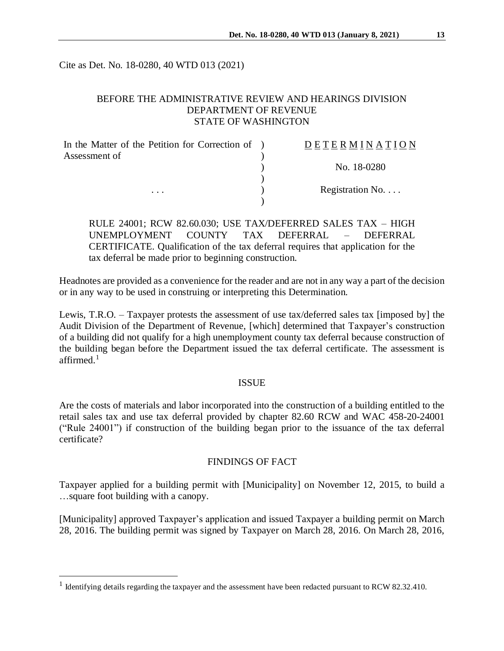Cite as Det. No. 18-0280, 40 WTD 013 (2021)

# BEFORE THE ADMINISTRATIVE REVIEW AND HEARINGS DIVISION DEPARTMENT OF REVENUE STATE OF WASHINGTON

| In the Matter of the Petition for Correction of ) | DETERMINATION            |
|---------------------------------------------------|--------------------------|
| Assessment of                                     |                          |
|                                                   | No. 18-0280              |
| $\cdots$                                          |                          |
|                                                   | Registration No. $\dots$ |
|                                                   |                          |

RULE 24001; RCW 82.60.030; USE TAX/DEFERRED SALES TAX – HIGH UNEMPLOYMENT COUNTY TAX DEFERRAL – DEFERRAL CERTIFICATE. Qualification of the tax deferral requires that application for the tax deferral be made prior to beginning construction.

Headnotes are provided as a convenience for the reader and are not in any way a part of the decision or in any way to be used in construing or interpreting this Determination.

Lewis, T.R.O. – Taxpayer protests the assessment of use tax/deferred sales tax [imposed by] the Audit Division of the Department of Revenue, [which] determined that Taxpayer's construction of a building did not qualify for a high unemployment county tax deferral because construction of the building began before the Department issued the tax deferral certificate. The assessment is affirmed $<sup>1</sup>$ </sup>

#### ISSUE

Are the costs of materials and labor incorporated into the construction of a building entitled to the retail sales tax and use tax deferral provided by chapter 82.60 RCW and WAC 458-20-24001 ("Rule 24001") if construction of the building began prior to the issuance of the tax deferral certificate?

#### FINDINGS OF FACT

Taxpayer applied for a building permit with [Municipality] on November 12, 2015, to build a …square foot building with a canopy.

[Municipality] approved Taxpayer's application and issued Taxpayer a building permit on March 28, 2016. The building permit was signed by Taxpayer on March 28, 2016. On March 28, 2016,

 $\overline{a}$ 

<sup>&</sup>lt;sup>1</sup> Identifying details regarding the taxpayer and the assessment have been redacted pursuant to RCW 82.32.410.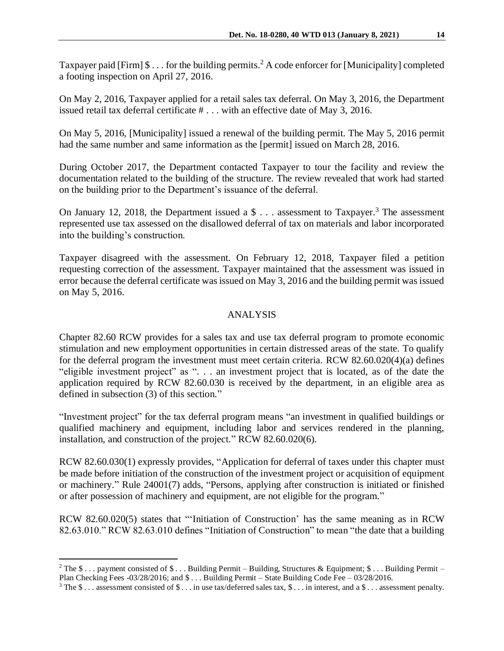Taxpayer paid [Firm]  $\$\dots$  for the building permits.<sup>2</sup> A code enforcer for [Municipality] completed a footing inspection on April 27, 2016.

On May 2, 2016, Taxpayer applied for a retail sales tax deferral. On May 3, 2016, the Department issued retail tax deferral certificate # . . . with an effective date of May 3, 2016.

On May 5, 2016, [Municipality] issued a renewal of the building permit. The May 5, 2016 permit had the same number and same information as the [permit] issued on March 28, 2016.

During October 2017, the Department contacted Taxpayer to tour the facility and review the documentation related to the building of the structure. The review revealed that work had started on the building prior to the Department's issuance of the deferral.

On January 12, 2018, the Department issued a  $\frac{1}{2}$ ... assessment to Taxpayer.<sup>3</sup> The assessment represented use tax assessed on the disallowed deferral of tax on materials and labor incorporated into the building's construction.

Taxpayer disagreed with the assessment. On February 12, 2018, Taxpayer filed a petition requesting correction of the assessment. Taxpayer maintained that the assessment was issued in error because the deferral certificate was issued on May 3, 2016 and the building permit was issued on May 5, 2016.

# ANALYSIS

Chapter 82.60 RCW provides for a sales tax and use tax deferral program to promote economic stimulation and new employment opportunities in certain distressed areas of the state. To qualify for the deferral program the investment must meet certain criteria. RCW 82.60.020(4)(a) defines "eligible investment project" as ". . . an investment project that is located, as of the date the application required by RCW 82.60.030 is received by the department, in an eligible area as defined in subsection (3) of this section."

"Investment project" for the tax deferral program means "an investment in qualified buildings or qualified machinery and equipment, including labor and services rendered in the planning, installation, and construction of the project." RCW 82.60.020(6).

RCW 82.60.030(1) expressly provides, "Application for deferral of taxes under this chapter must be made before initiation of the construction of the investment project or acquisition of equipment or machinery." Rule 24001(7) adds, "Persons, applying after construction is initiated or finished or after possession of machinery and equipment, are not eligible for the program."

RCW 82.60.020(5) states that "'Initiation of Construction' has the same meaning as in RCW 82.63.010." RCW 82.63.010 defines "Initiation of Construction" to mean "the date that a building

 $\overline{a}$ 

<sup>&</sup>lt;sup>2</sup> The  $\frac{1}{2}$ ... payment consisted of  $\frac{1}{2}$ ... Building Permit – Building, Structures & Equipment;  $\frac{1}{2}$ ... Building Permit – Plan Checking Fees -03/28/2016; and \$ . . . Building Permit – State Building Code Fee – 03/28/2016.

<sup>&</sup>lt;sup>3</sup> The \$... assessment consisted of \$... in use tax/deferred sales tax, \$... in interest, and a \$... assessment penalty.